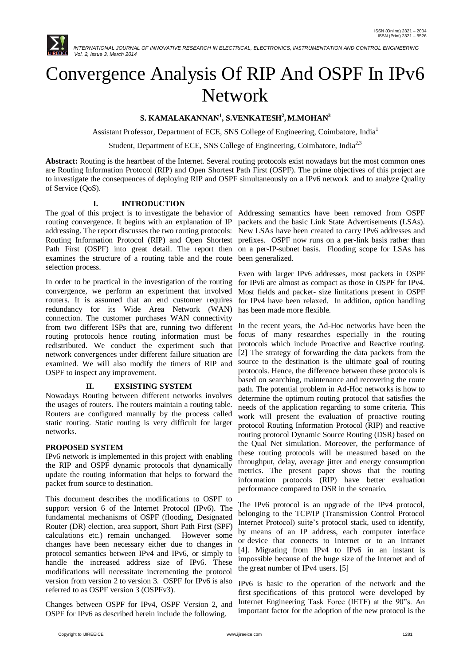

# Convergence Analysis Of RIP And OSPF In IPv6 Network

# $\mathbf{S.}\text{ KAMALAKANNAN}^1, \text{S.}\text{VENKATESH}^2, \text{M.} \text{MOHAN}^3$

Assistant Professor, Department of ECE, SNS College of Engineering, Coimbatore, India<sup>1</sup>

Student, Department of ECE, SNS College of Engineering, Coimbatore, India<sup>2,3</sup>

**Abstract:** Routing is the heartbeat of the Internet. Several routing protocols exist nowadays but the most common ones are Routing Information Protocol (RIP) and Open Shortest Path First (OSPF). The prime objectives of this project are to investigate the consequences of deploying RIP and OSPF simultaneously on a IPv6 network and to analyze Quality of Service (QoS).

# **I. INTRODUCTION**

routing convergence. It begins with an explanation of IP packets and the basic Link State Advertisements (LSAs). addressing. The report discusses the two routing protocols: New LSAs have been created to carry IPv6 addresses and Routing Information Protocol (RIP) and Open Shortest prefixes. OSPF now runs on a per-link basis rather than Path First (OSPF) into great detail. The report then on a per-IP-subnet basis. Flooding scope for LSAs has examines the structure of a routing table and the route been generalized. selection process.

In order to be practical in the investigation of the routing convergence, we perform an experiment that involved routers. It is assumed that an end customer requires redundancy for its Wide Area Network (WAN) connection. The customer purchases WAN connectivity from two different ISPs that are, running two different routing protocols hence routing information must be redistributed. We conduct the experiment such that network convergences under different failure situation are examined. We will also modify the timers of RIP and OSPF to inspect any improvement.

# **II. EXSISTING SYSTEM**

Nowadays Routing between different networks involves the usages of routers. The routers maintain a routing table. Routers are configured manually by the process called static routing. Static routing is very difficult for larger networks.

# **PROPOSED SYSTEM**

IPv6 network is implemented in this project with enabling the RIP and OSPF dynamic protocols that dynamically update the routing information that helps to forward the packet from source to destination.

This document describes the modifications to OSPF to support version 6 of the Internet Protocol (IPv6). The fundamental mechanisms of OSPF (flooding, Designated Router (DR) election, area support, Short Path First (SPF) calculations etc.) remain unchanged. However some changes have been necessary either due to changes in protocol semantics between IPv4 and IPv6, or simply to handle the increased address size of IPv6. These modifications will necessitate incrementing the protocol version from version 2 to version 3. OSPF for IPv6 is also referred to as OSPF version 3 (OSPFv3).

Changes between OSPF for IPv4, OSPF Version 2, and OSPF for IPv6 as described herein include the following.

The goal of this project is to investigate the behavior of Addressing semantics have been removed from OSPF

Even with larger IPv6 addresses, most packets in OSPF for IPv6 are almost as compact as those in OSPF for IPv4. Most fields and packet- size limitations present in OSPF for IPv4 have been relaxed. In addition, option handling has been made more flexible.

In the recent years, the Ad-Hoc networks have been the focus of many researches especially in the routing protocols which include Proactive and Reactive routing. [2] The strategy of forwarding the data packets from the source to the destination is the ultimate goal of routing protocols. Hence, the difference between these protocols is based on searching, maintenance and recovering the route path. The potential problem in Ad-Hoc networks is how to determine the optimum routing protocol that satisfies the needs of the application regarding to some criteria. This work will present the evaluation of proactive routing protocol Routing Information Protocol (RIP) and reactive routing protocol Dynamic Source Routing (DSR) based on the Qual Net simulation. Moreover, the performance of these routing protocols will be measured based on the throughput, delay, average jitter and energy consumption metrics. The present paper shows that the routing information protocols (RIP) have better evaluation performance compared to DSR in the scenario.

The IPv6 protocol is an upgrade of the IPv4 protocol, belonging to the TCP/IP (Transmission Control Protocol Internet Protocol) suite"s protocol stack, used to identify, by means of an IP address, each computer interface or device that connects to Internet or to an Intranet [4]. Migrating from IPv4 to IPv6 in an instant is impossible because of the huge size of the Internet and of the great number of IPv4 users. [5]

IPv6 is basic to the operation of the network and the first specifications of this protocol were developed by Internet Engineering Task Force (IETF) at the 90"s. An important factor for the adoption of the new protocol is the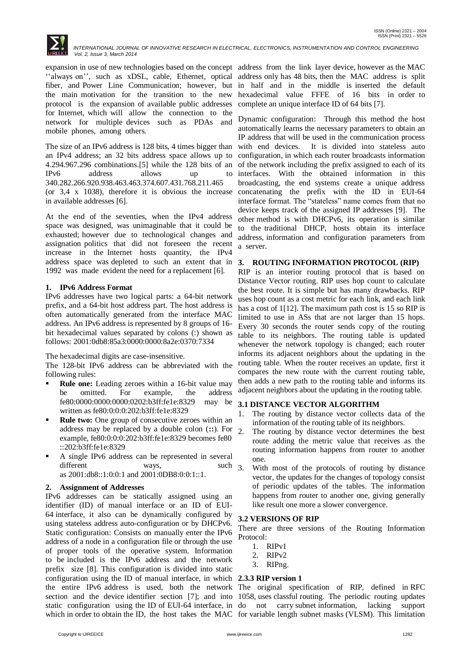

 *INTERNATIONAL JOURNAL OF INNOVATIVE RESEARCH IN ELECTRICAL, ELECTRONICS, INSTRUMENTATION AND CONTROL ENGINEERING Vol. 2, Issue 3, March 2014*

expansion in use of new technologies based on the concept address from the link layer device, however as the MAC "always on", such as xDSL, cable, Ethernet, optical fiber, and Power Line Communication; however, but the main motivation for the transition to the new protocol is the expansion of available public addresses for Internet, which will allow the connection to the network for multiple devices such as PDAs and mobile phones, among others.

The size of an IPv6 address is 128 bits, 4 times bigger than an IPv4 address; an 32 bits address space allows up to 4.294.967.296 combinations.[5] while the 128 bits of an IPv6 address allows up to 340.282.266.920.938.463.463.374.607.431.768.211.465 (or 3,4 x 1038), therefore it is obvious the increase in available addresses [6].

At the end of the seventies, when the IPv4 address space was designed, was unimaginable that it could be exhausted; however due to technological changes and assignation politics that did not foreseen the recent increase in the Internet hosts quantity, the IPv4 address space was depleted to such an extent that in 1992 was made evident the need for a replacement [6].

### **1. IPv6 Address Format**

IPv6 addresses have two logical parts: a 64-bit network prefix, and a 64-bit host address part. The host address is often automatically generated from the interface MAC address. An IPv6 address is represented by 8 groups of 16 bit hexadecimal values separated by colons (:) shown as follows: 2001:0db8:85a3:0000:0000:8a2e:0370:7334

The hexadecimal digits are case-insensitive.

The 128-bit IPv6 address can be abbreviated with the following rules:

- **Rule one:** Leading zeroes within a 16-bit value may be omitted. For example, the address fe80:0000:0000:0000:0202:b3ff:fe1e:8329 may be written as fe80:0:0:0:202:b3ff:fe1e:8329
- **Rule two:** One group of consecutive zeroes within an address may be replaced by a double colon (**::**). For example, fe80:0:0:0:202:b3ff:fe1e:8329 becomes fe80 ::202:b3ff:fe1e:8329
- A single IPv6 address can be represented in several different ways, such 3. as 2001:db8::1:0:0:1 and 2001:0DB8:0:0:1::1.

#### **2. Assignment of Addresses**

IPv6 addresses can be statically assigned using an identifier (ID) of manual interface or an ID of EUI-64 interface, it also can be dynamically configured by using stateless address auto-configuration or by DHCPv6. Static configuration: Consists on manually enter the IPv6 address of a node in a configuration file or through the use of proper tools of the operative system. Information to be included is the IPv6 address and the network prefix size [8]. This configuration is divided into static configuration using the ID of manual interface, in which **2.3.3 RIP version 1** the entire IPv6 address is used, both the network The original specification of RIP, defined in RFC section and the device identifier section [7]; and into 1058, uses classful routing. The periodic routing updates static configuration using the ID of EUI-64 interface, in which in order to obtain the ID, the host takes the MAC for variable length subnet masks (VLSM). This limitation

address only has 48 bits, then the MAC address is split in half and in the middle is inserted the default hexadecimal value FFFE of 16 bits in order to complete an unique interface ID of 64 bits [7].

Dynamic configuration: Through this method the host automatically learns the necessary parameters to obtain an IP address that will be used in the communication process with end devices. It is divided into stateless auto configuration, in which each router broadcasts information of the network including the prefix assigned to each of its interfaces. With the obtained information in this broadcasting, the end systems create a unique address concatenating the prefix with the ID in EUI-64 interface format. The "stateless" name comes from that no device keeps track of the assigned IP addresses [9]. The other method is with DHCPv6, its operation is similar to the traditional DHCP, hosts obtain its interface address, information and configuration parameters from a server.

### **3. ROUTING INFORMATION PROTOCOL (RIP)**

RIP is an interior routing protocol that is based on Distance Vector routing. RIP uses hop count to calculate the best route. It is simple but has many drawbacks. RIP uses hop count as a cost metric for each link, and each link has a cost of 1[12]. The maximum path cost is 15 so RIP is limited to use in ASs that are not larger than 15 hops. Every 30 seconds the router sends copy of the routing table to its neighbors. The routing table is updated whenever the network topology is changed; each router informs its adjacent neighbors about the updating in the routing table. When the router receives an update, first it compares the new route with the current routing table, then adds a new path to the routing table and informs its adjacent neighbors about the updating in the routing table.

#### **3.1 DISTANCE VECTOR ALGORITHM**

- The routing by distance vector collects data of the information of the routing table of its neighbors.
- 2. The routing by distance vector determines the best route adding the metric value that receives as the routing information happens from router to another one.
- With most of the protocols of routing by distance vector, the updates for the changes of topology consist of periodic updates of the tables. The information happens from router to another one, giving generally like result one more a slower convergence.

#### **3.2 VERSIONS OF RIP**

There are three versions of the Routing Information Protocol:

- 1. RIPv1
- 2. RIPv2
- 3. RIPng.

not carry subnet information, lacking support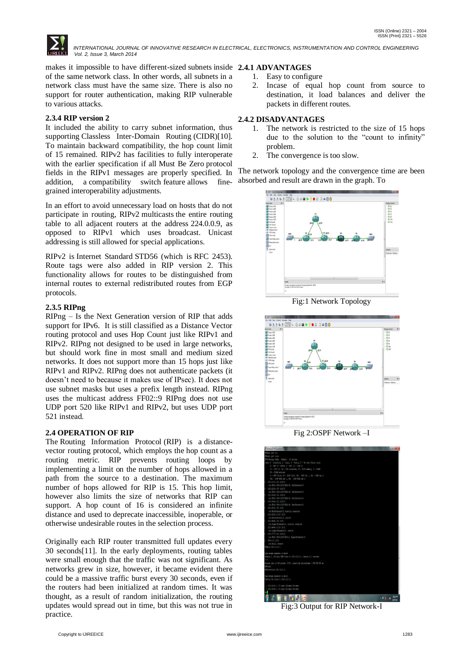

makes it impossible to have different-sized subnets inside **2.4.1 ADVANTAGES** of the same network class. In other words, all subnets in a network class must have the same size. There is also no support for router authentication, making RIP vulnerable to various attacks.

# **2.3.4 RIP version 2**

It included the ability to carry subnet information, thus supporting Classless Inter-Domain Routing (CIDR)[10]. To maintain backward compatibility, the hop count limit of 15 remained. RIPv2 has facilities to fully interoperate with the earlier specification if all Must Be Zero protocol fields in the RIPv1 messages are properly specified. In addition, a compatibility switch feature allows finegrained interoperability adjustments.

In an effort to avoid unnecessary load on hosts that do not participate in routing, RIPv2 multicasts the entire routing table to all adjacent routers at the address 224.0.0.9, as opposed to RIPv1 which uses broadcast. Unicast addressing is still allowed for special applications.

RIPv2 is Internet Standard STD56 (which is RFC 2453). Route tags were also added in RIP version 2. This functionality allows for routes to be distinguished from internal routes to external redistributed routes from EGP protocols.

# **2.3.5 RIPng**

RIPng – Is the Next Generation version of RIP that adds support for IPv6. It is still classified as a Distance Vector routing protocol and uses Hop Count just like RIPv1 and RIPv2. RIPng not designed to be used in large networks, but should work fine in most small and medium sized networks. It does not support more than 15 hops just like RIPv1 and RIPv2. RIPng does not authenticate packets (it doesn"t need to because it makes use of IPsec). It does not use subnet masks but uses a prefix length instead. RIPng uses the multicast address FF02::9 RIPng does not use UDP port 520 like RIPv1 and RIPv2, but uses UDP port 521 instead.

# **2.4 OPERATION OF RIP**

The Routing Information Protocol (RIP) is a distancevector routing protocol, which employs the hop count as a routing metric. RIP prevents routing loops by implementing a limit on the number of hops allowed in a path from the source to a destination. The maximum number of hops allowed for RIP is 15. This hop limit, however also limits the size of networks that RIP can support. A hop count of 16 is considered an infinite distance and used to deprecate inaccessible, inoperable, or otherwise undesirable routes in the selection process.

Originally each RIP router transmitted full updates every 30 seconds[11]. In the early deployments, routing tables were small enough that the traffic was not significant. As networks grew in size, however, it became evident there could be a massive traffic burst every 30 seconds, even if the routers had been initialized at random times. It was thought, as a result of random initialization, the routing updates would spread out in time, but this was not true in practice.

- 1. Easy to configure
- 2. Incase of equal hop count from source to destination, it load balances and deliver the packets in different routes.

# **2.4.2 DISADVANTAGES**

- 1. The network is restricted to the size of 15 hops due to the solution to the "count to infinity" problem.
- 2. The convergence is too slow.

The network topology and the convergence time are been absorbed and result are drawn in the graph. To



Fig:1 Network Topology



Fig 2:OSPF Network –I



Fig:3 Output for RIP Network-I